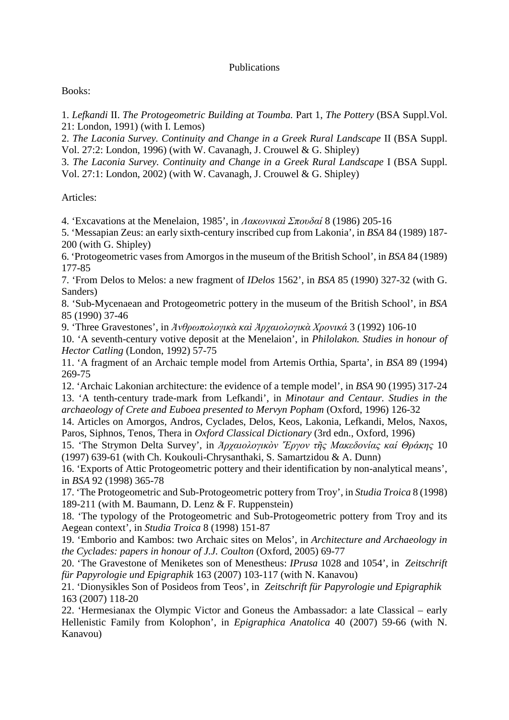## Publications

## Books:

1. *Lefkandi* II. *The Protogeometric Building at Toumba.* Part 1, *The Pottery* (BSA Suppl.Vol. 21: London, 1991) (with I. Lemos)

2. *The Laconia Survey. Continuity and Change in a Greek Rural Landscape* II (BSA Suppl. Vol. 27:2: London, 1996) (with W. Cavanagh, J. Crouwel & G. Shipley)

3. *The Laconia Survey. Continuity and Change in a Greek Rural Landscape* I (BSA Suppl. Vol. 27:1: London, 2002) (with W. Cavanagh, J. Crouwel & G. Shipley)

Articles:

4. 'Excavations at the Menelaion, 1985', in *Λακωνικαὶ Σπουδαί* 8 (1986) 205-16

5. 'Messapian Zeus: an early sixth-century inscribed cup from Lakonia', in *BSA* 84 (1989) 187- 200 (with G. Shipley)

6. 'Protogeometric vases from Amorgos in the museum of the British School', in *BSA* 84 (1989) 177-85

7. 'From Delos to Melos: a new fragment of *IDelos* 1562', in *BSA* 85 (1990) 327-32 (with G. Sanders)

8. 'Sub-Mycenaean and Protogeometric pottery in the museum of the British School', in *BSA* 85 (1990) 37-46

9. 'Three Gravestones', in *Ἀνθρωπολογικὰ καὶ Ἀρχαιολογικὰ Χρονικά* 3 (1992) 106-10

10. 'A seventh-century votive deposit at the Menelaion', in *Philolakon. Studies in honour of Hector Catling* (London, 1992) 57-75

11. 'A fragment of an Archaic temple model from Artemis Orthia, Sparta', in *BSA* 89 (1994) 269-75

12. 'Archaic Lakonian architecture: the evidence of a temple model', in *BSA* 90 (1995) 317-24 13. 'A tenth-century trade-mark from Lefkandi', in *Minotaur and Centaur. Studies in the archaeology of Crete and Euboea presented to Mervyn Popham* (Oxford, 1996) 126-32

14. Articles on Amorgos, Andros, Cyclades, Delos, Keos, Lakonia, Lefkandi, Melos, Naxos, Paros, Siphnos, Tenos, Thera in *Oxford Classical Dictionary* (3rd edn., Oxford, 1996)

15. 'The Strymon Delta Survey', in *Ἀρχαιολογικὸν Ἔργον τῆς Μακεδονίας καί Θράκης* 10 (1997) 639-61 (with Ch. Koukouli-Chrysanthaki, S. Samartzidou & A. Dunn)

16. 'Exports of Attic Protogeometric pottery and their identification by non-analytical means', in *BSA* 92 (1998) 365-78

17. 'The Protogeometric and Sub-Protogeometric pottery from Troy', in *Studia Troica* 8 (1998) 189-211 (with M. Baumann, D. Lenz & F. Ruppenstein)

18. 'The typology of the Protogeometric and Sub-Protogeometric pottery from Troy and its Aegean context', in *Studia Troica* 8 (1998) 151-87

19. 'Emborio and Kambos: two Archaic sites on Melos', in *Architecture and Archaeology in the Cyclades: papers in honour of J.J. Coulton* (Oxford, 2005) 69-77

20. 'The Gravestone of Meniketes son of Menestheus: *IPrusa* 1028 and 1054', in *Zeitschrift für Papyrologie und Epigraphik* 163 (2007) 103-117 (with N. Kanavou)

21. 'Dionysikles Son of Posideos from Teos', in *Zeitschrift für Papyrologie und Epigraphik* 163 (2007) 118-20

22. 'Hermesianax the Olympic Victor and Goneus the Ambassador: a late Classical – early Hellenistic Family from Kolophon', in *Epigraphica Anatolica* 40 (2007) 59-66 (with N. Kanavou)